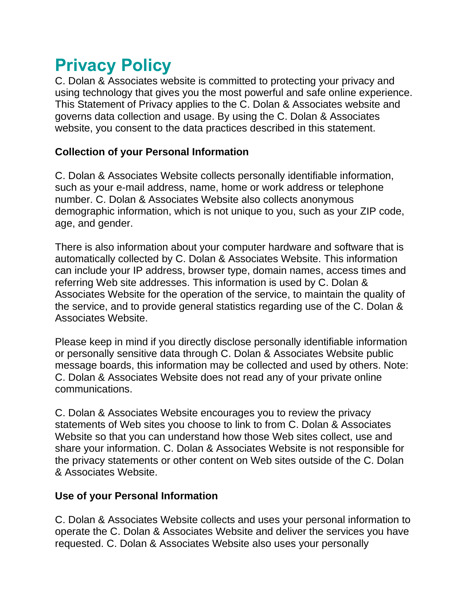# **Privacy Policy**

C. Dolan & Associates website is committed to protecting your privacy and using technology that gives you the most powerful and safe online experience. This Statement of Privacy applies to the C. Dolan & Associates website and governs data collection and usage. By using the C. Dolan & Associates website, you consent to the data practices described in this statement.

## **Collection of your Personal Information**

C. Dolan & Associates Website collects personally identifiable information, such as your e-mail address, name, home or work address or telephone number. C. Dolan & Associates Website also collects anonymous demographic information, which is not unique to you, such as your ZIP code, age, and gender.

There is also information about your computer hardware and software that is automatically collected by C. Dolan & Associates Website. This information can include your IP address, browser type, domain names, access times and referring Web site addresses. This information is used by C. Dolan & Associates Website for the operation of the service, to maintain the quality of the service, and to provide general statistics regarding use of the C. Dolan & Associates Website.

Please keep in mind if you directly disclose personally identifiable information or personally sensitive data through C. Dolan & Associates Website public message boards, this information may be collected and used by others. Note: C. Dolan & Associates Website does not read any of your private online communications.

C. Dolan & Associates Website encourages you to review the privacy statements of Web sites you choose to link to from C. Dolan & Associates Website so that you can understand how those Web sites collect, use and share your information. C. Dolan & Associates Website is not responsible for the privacy statements or other content on Web sites outside of the C. Dolan & Associates Website.

## **Use of your Personal Information**

C. Dolan & Associates Website collects and uses your personal information to operate the C. Dolan & Associates Website and deliver the services you have requested. C. Dolan & Associates Website also uses your personally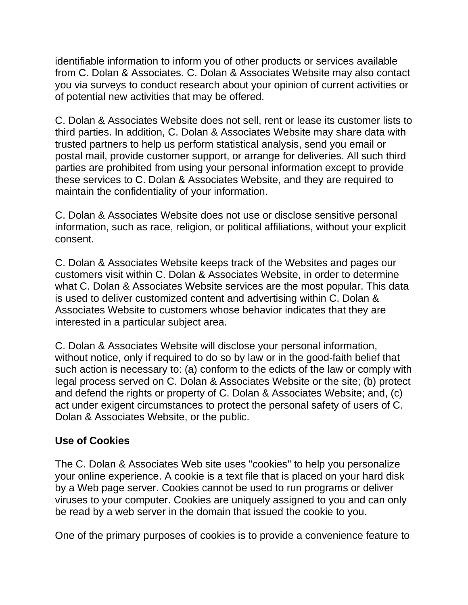identifiable information to inform you of other products or services available from C. Dolan & Associates. C. Dolan & Associates Website may also contact you via surveys to conduct research about your opinion of current activities or of potential new activities that may be offered.

C. Dolan & Associates Website does not sell, rent or lease its customer lists to third parties. In addition, C. Dolan & Associates Website may share data with trusted partners to help us perform statistical analysis, send you email or postal mail, provide customer support, or arrange for deliveries. All such third parties are prohibited from using your personal information except to provide these services to C. Dolan & Associates Website, and they are required to maintain the confidentiality of your information.

C. Dolan & Associates Website does not use or disclose sensitive personal information, such as race, religion, or political affiliations, without your explicit consent.

C. Dolan & Associates Website keeps track of the Websites and pages our customers visit within C. Dolan & Associates Website, in order to determine what C. Dolan & Associates Website services are the most popular. This data is used to deliver customized content and advertising within C. Dolan & Associates Website to customers whose behavior indicates that they are interested in a particular subject area.

C. Dolan & Associates Website will disclose your personal information, without notice, only if required to do so by law or in the good-faith belief that such action is necessary to: (a) conform to the edicts of the law or comply with legal process served on C. Dolan & Associates Website or the site; (b) protect and defend the rights or property of C. Dolan & Associates Website; and, (c) act under exigent circumstances to protect the personal safety of users of C. Dolan & Associates Website, or the public.

#### **Use of Cookies**

The C. Dolan & Associates Web site uses "cookies" to help you personalize your online experience. A cookie is a text file that is placed on your hard disk by a Web page server. Cookies cannot be used to run programs or deliver viruses to your computer. Cookies are uniquely assigned to you and can only be read by a web server in the domain that issued the cookie to you.

One of the primary purposes of cookies is to provide a convenience feature to